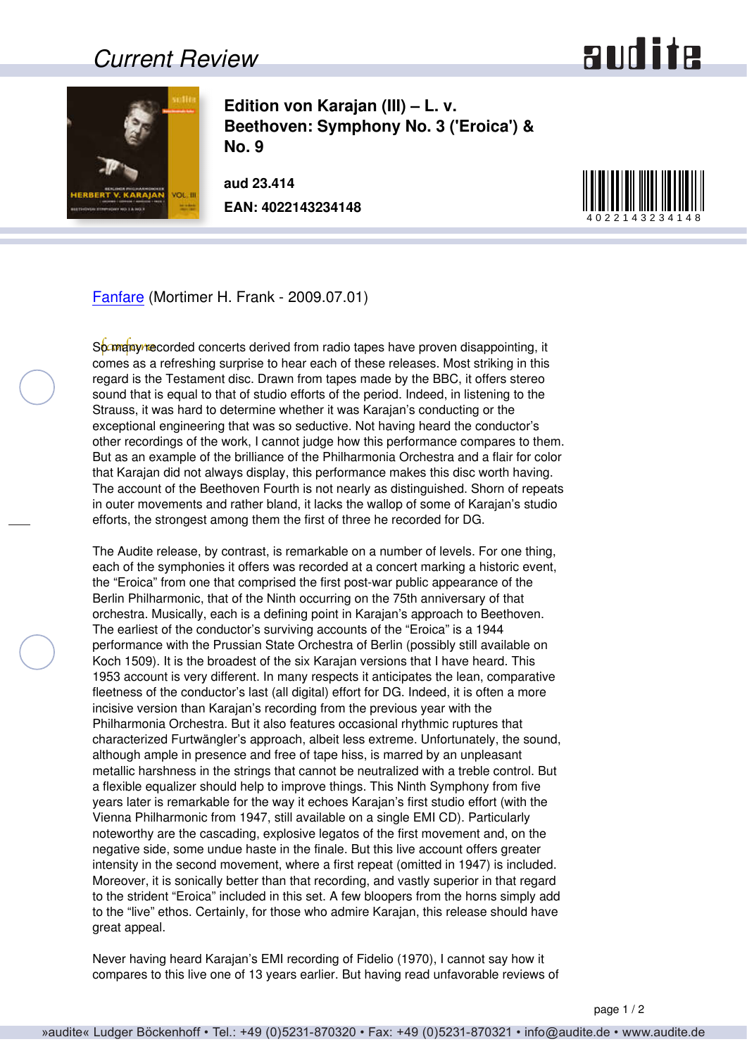## *Current Review*





**Edition von Karajan (III) – L. v. Beethoven: Symphony No. 3 ('Eroica') & No. 9**

**aud 23.414 EAN: 4022143234148**



[Fanfare](http://www.fanfaremag.com/) (Mortimer H. Frank - 2009.07.01)

So many recorded concerts derived from radio tapes have proven disappointing, it comes as a refreshing surprise to hear each of these releases. Most striking in this regard is the Testament disc. Drawn from tapes made by the BBC, it offers stereo sound that is equal to that of studio efforts of the period. Indeed, in listening to the Strauss, it was hard to determine whether it was Karajan's conducting or the exceptional engineering that was so seductive. Not having heard the conductor's other recordings of the work, I cannot judge how this performance compares to them. But as an example of the brilliance of the Philharmonia Orchestra and a flair for color that Karajan did not always display, this performance makes this disc worth having. The account of the Beethoven Fourth is not nearly as distinguished. Shorn of repeats in outer movements and rather bland, it lacks the wallop of some of Karajan's studio efforts, the strongest among them the first of three he recorded for DG.

The Audite release, by contrast, is remarkable on a number of levels. For one thing, each of the symphonies it offers was recorded at a concert marking a historic event, the "Eroica" from one that comprised the first post-war public appearance of the Berlin Philharmonic, that of the Ninth occurring on the 75th anniversary of that orchestra. Musically, each is a defining point in Karajan's approach to Beethoven. The earliest of the conductor's surviving accounts of the "Eroica" is a 1944 performance with the Prussian State Orchestra of Berlin (possibly still available on Koch 1509). It is the broadest of the six Karajan versions that I have heard. This 1953 account is very different. In many respects it anticipates the lean, comparative fleetness of the conductor's last (all digital) effort for DG. Indeed, it is often a more incisive version than Karajan's recording from the previous year with the Philharmonia Orchestra. But it also features occasional rhythmic ruptures that characterized Furtwängler's approach, albeit less extreme. Unfortunately, the sound, although ample in presence and free of tape hiss, is marred by an unpleasant metallic harshness in the strings that cannot be neutralized with a treble control. But a flexible equalizer should help to improve things. This Ninth Symphony from five years later is remarkable for the way it echoes Karajan's first studio effort (with the Vienna Philharmonic from 1947, still available on a single EMI CD). Particularly noteworthy are the cascading, explosive legatos of the first movement and, on the negative side, some undue haste in the finale. But this live account offers greater intensity in the second movement, where a first repeat (omitted in 1947) is included. Moreover, it is sonically better than that recording, and vastly superior in that regard to the strident "Eroica" included in this set. A few bloopers from the horns simply add to the "live" ethos. Certainly, for those who admire Karajan, this release should have great appeal.

Never having heard Karajan's EMI recording of Fidelio (1970), I cannot say how it compares to this live one of 13 years earlier. But having read unfavorable reviews of